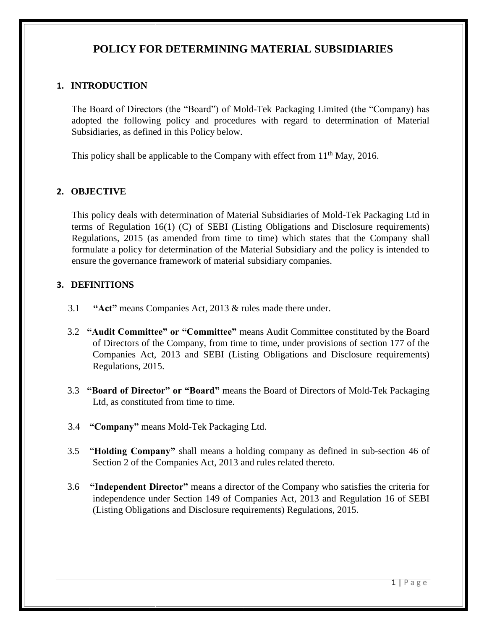# **POLICY FOR DETERMINING MATERIAL SUBSIDIARIES**

## **1. INTRODUCTION**

The Board of Directors (the "Board") of Mold-Tek Packaging Limited (the "Company) has adopted the following policy and procedures with regard to determination of Material Subsidiaries, as defined in this Policy below.

This policy shall be applicable to the Company with effect from 11<sup>th</sup> May, 2016.

## **2. OBJECTIVE**

This policy deals with determination of Material Subsidiaries of Mold-Tek Packaging Ltd in terms of Regulation 16(1) (C) of SEBI (Listing Obligations and Disclosure requirements) Regulations, 2015 (as amended from time to time) which states that the Company shall formulate a policy for determination of the Material Subsidiary and the policy is intended to ensure the governance framework of material subsidiary companies.

### **3. DEFINITIONS**

- 3.1 **"Act"** means Companies Act, 2013 & rules made there under.
- 3.2 **"Audit Committee" or "Committee"** means Audit Committee constituted by the Board of Directors of the Company, from time to time, under provisions of section 177 of the Companies Act, 2013 and SEBI (Listing Obligations and Disclosure requirements) Regulations, 2015.
- 3.3 **"Board of Director" or "Board"** means the Board of Directors of Mold-Tek Packaging Ltd, as constituted from time to time.
- 3.4 **"Company"** means Mold-Tek Packaging Ltd.
- 3.5 "**Holding Company"** shall means a holding company as defined in sub-section 46 of Section 2 of the Companies Act, 2013 and rules related thereto.
- 3.6 **"Independent Director"** means a director of the Company who satisfies the criteria for independence under Section 149 of Companies Act, 2013 and Regulation 16 of SEBI (Listing Obligations and Disclosure requirements) Regulations, 2015.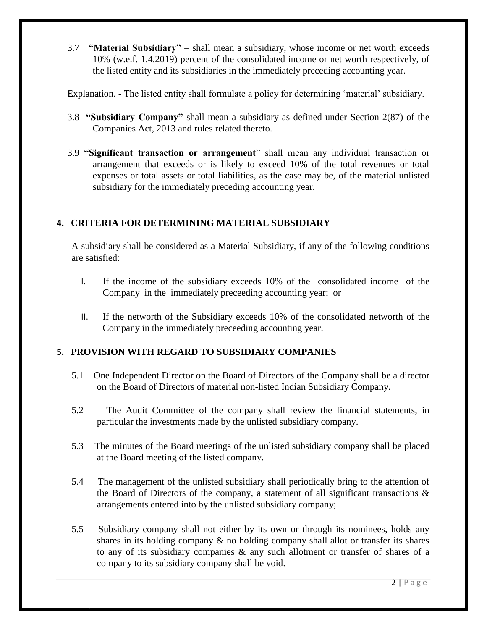3.7 **"Material Subsidiary"** – shall mean a subsidiary, whose income or net worth exceeds 10% (w.e.f. 1.4.2019) percent of the consolidated income or net worth respectively, of the listed entity and its subsidiaries in the immediately preceding accounting year.

Explanation. - The listed entity shall formulate a policy for determining 'material' subsidiary.

- 3.8 **"Subsidiary Company"** shall mean a subsidiary as defined under Section 2(87) of the Companies Act, 2013 and rules related thereto.
- 3.9 **"Significant transaction or arrangement**" shall mean any individual transaction or arrangement that exceeds or is likely to exceed 10% of the total revenues or total expenses or total assets or total liabilities, as the case may be, of the material unlisted subsidiary for the immediately preceding accounting year.

## **4. CRITERIA FOR DETERMINING MATERIAL SUBSIDIARY**

A subsidiary shall be considered as a Material Subsidiary, if any of the following conditions are satisfied:

- I. If the income of the subsidiary exceeds 10% of the consolidated income of the Company in the immediately preceeding accounting year; or
- II. If the networth of the Subsidiary exceeds 10% of the consolidated networth of the Company in the immediately preceeding accounting year.

## **5. PROVISION WITH REGARD TO SUBSIDIARY COMPANIES**

- 5.1 One Independent Director on the Board of Directors of the Company shall be a director on the Board of Directors of material non-listed Indian Subsidiary Company.
- 5.2 The Audit Committee of the company shall review the financial statements, in particular the investments made by the unlisted subsidiary company.
- 5.3 The minutes of the Board meetings of the unlisted subsidiary company shall be placed at the Board meeting of the listed company.
- 5.4 The management of the unlisted subsidiary shall periodically bring to the attention of the Board of Directors of the company, a statement of all significant transactions  $\&$ arrangements entered into by the unlisted subsidiary company;
- 5.5 Subsidiary company shall not either by its own or through its nominees, holds any shares in its holding company  $\&$  no holding company shall allot or transfer its shares to any of its subsidiary companies & any such allotment or transfer of shares of a company to its subsidiary company shall be void.